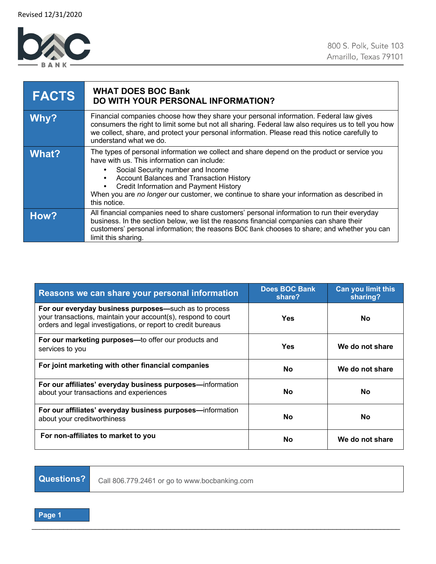

| <b>FACTS</b> | <b>WHAT DOES BOC Bank</b><br>DO WITH YOUR PERSONAL INFORMATION?                                                                                                                                                                                                                                                                                                                                         |
|--------------|---------------------------------------------------------------------------------------------------------------------------------------------------------------------------------------------------------------------------------------------------------------------------------------------------------------------------------------------------------------------------------------------------------|
| Why?         | Financial companies choose how they share your personal information. Federal law gives<br>consumers the right to limit some but not all sharing. Federal law also requires us to tell you how<br>we collect, share, and protect your personal information. Please read this notice carefully to<br>understand what we do.                                                                               |
| What?        | The types of personal information we collect and share depend on the product or service you<br>have with us. This information can include:<br>Social Security number and Income<br><b>Account Balances and Transaction History</b><br>$\bullet$<br>Credit Information and Payment History<br>When you are no longer our customer, we continue to share your information as described in<br>this notice. |
| How?         | All financial companies need to share customers' personal information to run their everyday<br>business. In the section below, we list the reasons financial companies can share their<br>customers' personal information; the reasons BOC Bank chooses to share; and whether you can<br>limit this sharing.                                                                                            |

| Reasons we can share your personal information                                                                                                                                         | <b>Does BOC Bank</b><br>share? | <b>Can you limit this</b><br>sharing? |
|----------------------------------------------------------------------------------------------------------------------------------------------------------------------------------------|--------------------------------|---------------------------------------|
| For our everyday business purposes-such as to process<br>your transactions, maintain your account(s), respond to court<br>orders and legal investigations, or report to credit bureaus | Yes                            | <b>No</b>                             |
| For our marketing purposes-to offer our products and<br>services to you                                                                                                                | Yes                            | We do not share                       |
| For joint marketing with other financial companies                                                                                                                                     | No                             | We do not share                       |
| For our affiliates' everyday business purposes—information<br>about your transactions and experiences                                                                                  | <b>No</b>                      | No                                    |
| For our affiliates' everyday business purposes—information<br>about your creditworthiness                                                                                              | <b>No</b>                      | <b>No</b>                             |
| For non-affiliates to market to you                                                                                                                                                    | <b>No</b>                      | We do not share                       |

\_\_\_\_\_\_\_\_\_\_\_\_\_\_\_\_\_\_\_\_\_\_\_\_\_\_\_\_\_\_\_\_\_\_\_\_\_\_\_\_\_\_\_\_\_\_\_\_\_\_\_\_\_\_\_\_\_\_\_\_\_\_\_\_\_\_\_\_\_\_\_\_\_\_\_\_\_\_\_\_\_\_\_\_\_\_\_\_\_\_\_\_\_

**Questions?** Call 806.779.2461 or go to www.bocbanking.com

**Page 1**